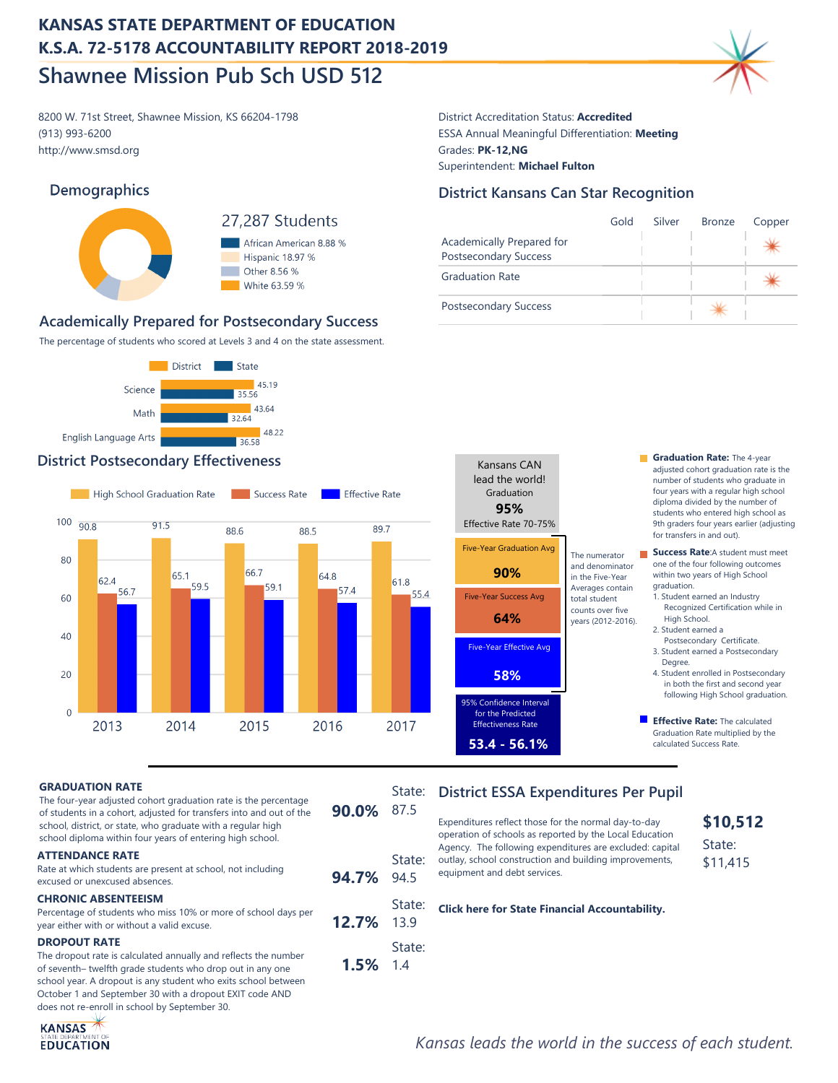8200 W. 71st Street, Shawnee Mission, KS 66204-1798 District Accreditation Status: **Accredited** http://www.smsd.org (913) 993-6200

## **Demographics**



African American 8.88 % Hispanic 18.97 % Other 8.56 % White 63.59 %

## **Academically Prepared for Postsecondary Success**

The percentage of students who scored at Levels 3 and 4 on the state assessment.



## **District Postsecondary Effectiveness Graduation Rate:** The 4-year **Graduation Rate:** The 4-year



# ESSA Annual Meaningful Differentiation: **Meeting** Grades: **PK-12,NG** Superintendent: **Michael Fulton**

## **District Kansans Can Star Recognition**

|                                                           | Gold | Silver | <b>Bronze</b> | Copper |
|-----------------------------------------------------------|------|--------|---------------|--------|
| Academically Prepared for<br><b>Postsecondary Success</b> |      |        |               |        |
| <b>Graduation Rate</b>                                    |      |        |               |        |
| <b>Postsecondary Success</b>                              |      |        |               |        |



- adjusted cohort graduation rate is the number of students who graduate in four years with a regular high school diploma divided by the number of students who entered high school as 9th graders four years earlier (adjusting for transfers in and out).
- **Success Rate:**A student must meet one of the four following outcomes within two years of High School graduation.
	- 1. Student earned an Industry Recognized Certification while in High School. 2. Student earned a
	- Postsecondary Certificate. 3. Student earned a Postsecondary Degree.
	- 4. Student enrolled in Postsecondary in both the first and second year following High School graduation.
- **Effective Rate:** The calculated Graduation Rate multiplied by the calculated Success Rate.

#### **GRADUATION RATE**

| The four-year adjusted cohort graduation rate is the percentage<br>of students in a cohort, adjusted for transfers into and out of the<br>school, district, or state, who graduate with a regular high<br>school diploma within four years of entering high school. | 90.0% 87.5 | State.        |
|---------------------------------------------------------------------------------------------------------------------------------------------------------------------------------------------------------------------------------------------------------------------|------------|---------------|
| <b>ATTENDANCE RATE</b><br>Rate at which students are present at school, not including<br>excused or unexcused absences.                                                                                                                                             | 94.7% 94.5 | State:        |
| <b>CHRONIC ABSENTEEISM</b><br>Percentage of students who miss 10% or more of school days per<br>year either with or without a valid excuse.                                                                                                                         | 12.7% 13.9 | State:        |
| <b>DROPOUT RATE</b><br>The dropout rate is calculated annually and reflects the number<br>of seventh- twelfth grade students who drop out in any one                                                                                                                | $1.5\%$    | State:<br>1.4 |

The dropout rate is calculated annually and reflects the number of seventh– twelfth grade students who drop out in any one school year. A dropout is any student who exits school between October 1 and September 30 with a dropout EXIT code AND does not re-enroll in school by September 30.



operation of schools as reported by the Local Education Agency. The following expenditures are excluded: capital outlay, school construction and building improvements, equipment and debt services.

**[Click here for State Financial Accountability.](https://datacentral.ksde.org/dist_funding_rpt.aspx)**

## **\$10,512** State:

\$11,415